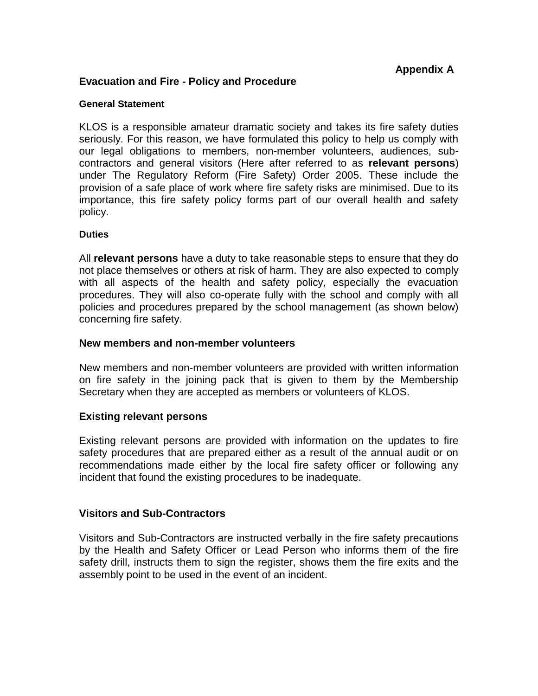### **Evacuation and Fire - Policy and Procedure**

### **General Statement**

KLOS is a responsible amateur dramatic society and takes its fire safety duties seriously. For this reason, we have formulated this policy to help us comply with our legal obligations to members, non-member volunteers, audiences, subcontractors and general visitors (Here after referred to as **relevant persons**) under The Regulatory Reform (Fire Safety) Order 2005. These include the provision of a safe place of work where fire safety risks are minimised. Due to its importance, this fire safety policy forms part of our overall health and safety policy.

### **Duties**

All **relevant persons** have a duty to take reasonable steps to ensure that they do not place themselves or others at risk of harm. They are also expected to comply with all aspects of the health and safety policy, especially the evacuation procedures. They will also co-operate fully with the school and comply with all policies and procedures prepared by the school management (as shown below) concerning fire safety.

### **New members and non-member volunteers**

New members and non-member volunteers are provided with written information on fire safety in the joining pack that is given to them by the Membership Secretary when they are accepted as members or volunteers of KLOS.

### **Existing relevant persons**

Existing relevant persons are provided with information on the updates to fire safety procedures that are prepared either as a result of the annual audit or on recommendations made either by the local fire safety officer or following any incident that found the existing procedures to be inadequate.

### **Visitors and Sub-Contractors**

Visitors and Sub-Contractors are instructed verbally in the fire safety precautions by the Health and Safety Officer or Lead Person who informs them of the fire safety drill, instructs them to sign the register, shows them the fire exits and the assembly point to be used in the event of an incident.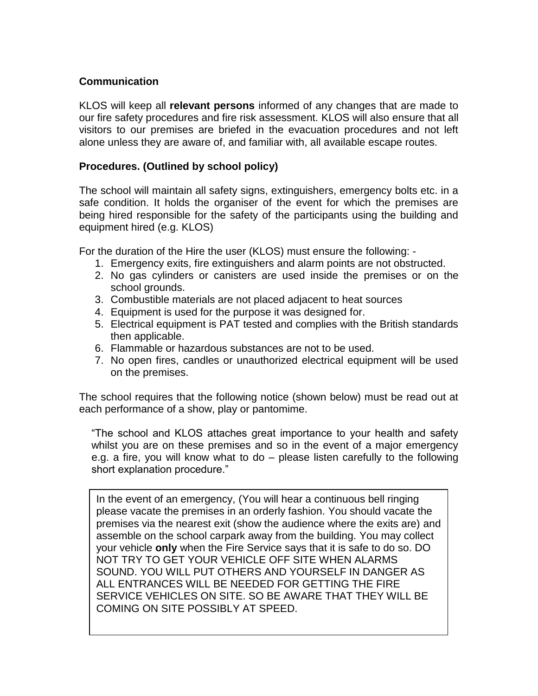# **Communication**

KLOS will keep all **relevant persons** informed of any changes that are made to our fire safety procedures and fire risk assessment. KLOS will also ensure that all visitors to our premises are briefed in the evacuation procedures and not left alone unless they are aware of, and familiar with, all available escape routes.

### **Procedures. (Outlined by school policy)**

The school will maintain all safety signs, extinguishers, emergency bolts etc. in a safe condition. It holds the organiser of the event for which the premises are being hired responsible for the safety of the participants using the building and equipment hired (e.g. KLOS)

For the duration of the Hire the user (KLOS) must ensure the following: -

- 1. Emergency exits, fire extinguishers and alarm points are not obstructed.
- 2. No gas cylinders or canisters are used inside the premises or on the school grounds.
- 3. Combustible materials are not placed adjacent to heat sources
- 4. Equipment is used for the purpose it was designed for.
- 5. Electrical equipment is PAT tested and complies with the British standards then applicable.
- 6. Flammable or hazardous substances are not to be used.
- 7. No open fires, candles or unauthorized electrical equipment will be used on the premises.

The school requires that the following notice (shown below) must be read out at each performance of a show, play or pantomime.

"The school and KLOS attaches great importance to your health and safety whilst you are on these premises and so in the event of a major emergency e.g. a fire, you will know what to do – please listen carefully to the following short explanation procedure."

In the event of an emergency, (You will hear a continuous bell ringing please vacate the premises in an orderly fashion. You should vacate the premises via the nearest exit (show the audience where the exits are) and assemble on the school carpark away from the building. You may collect your vehicle **only** when the Fire Service says that it is safe to do so. DO NOT TRY TO GET YOUR VEHICLE OFF SITE WHEN ALARMS SOUND. YOU WILL PUT OTHERS AND YOURSELF IN DANGER AS ALL ENTRANCES WILL BE NEEDED FOR GETTING THE FIRE SERVICE VEHICLES ON SITE. SO BE AWARE THAT THEY WILL BE COMING ON SITE POSSIBLY AT SPEED.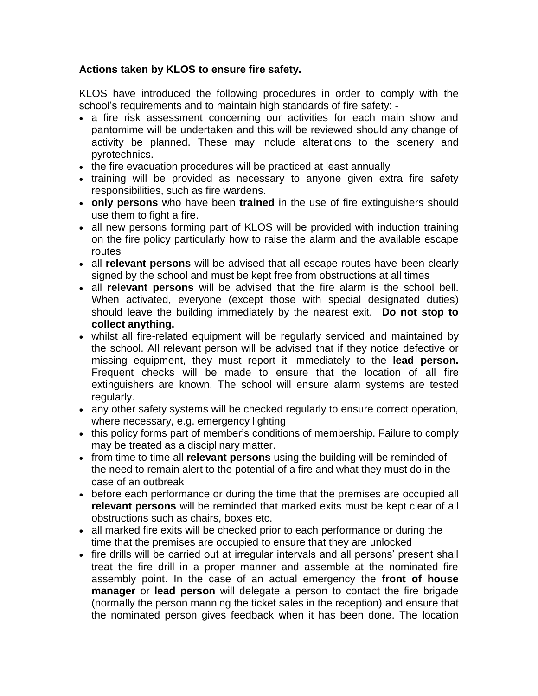# **Actions taken by KLOS to ensure fire safety.**

KLOS have introduced the following procedures in order to comply with the school's requirements and to maintain high standards of fire safety: -

- a fire risk assessment concerning our activities for each main show and pantomime will be undertaken and this will be reviewed should any change of activity be planned. These may include alterations to the scenery and pyrotechnics.
- the fire evacuation procedures will be practiced at least annually
- training will be provided as necessary to anyone given extra fire safety responsibilities, such as fire wardens.
- **only persons** who have been **trained** in the use of fire extinguishers should use them to fight a fire.
- all new persons forming part of KLOS will be provided with induction training on the fire policy particularly how to raise the alarm and the available escape routes
- all **relevant persons** will be advised that all escape routes have been clearly signed by the school and must be kept free from obstructions at all times
- all **relevant persons** will be advised that the fire alarm is the school bell. When activated, everyone (except those with special designated duties) should leave the building immediately by the nearest exit. **Do not stop to collect anything.**
- whilst all fire-related equipment will be regularly serviced and maintained by the school. All relevant person will be advised that if they notice defective or missing equipment, they must report it immediately to the **lead person.** Frequent checks will be made to ensure that the location of all fire extinguishers are known. The school will ensure alarm systems are tested regularly.
- any other safety systems will be checked regularly to ensure correct operation, where necessary, e.g. emergency lighting
- this policy forms part of member's conditions of membership. Failure to comply may be treated as a disciplinary matter.
- from time to time all **relevant persons** using the building will be reminded of the need to remain alert to the potential of a fire and what they must do in the case of an outbreak
- before each performance or during the time that the premises are occupied all **relevant persons** will be reminded that marked exits must be kept clear of all obstructions such as chairs, boxes etc.
- all marked fire exits will be checked prior to each performance or during the time that the premises are occupied to ensure that they are unlocked
- fire drills will be carried out at irregular intervals and all persons' present shall treat the fire drill in a proper manner and assemble at the nominated fire assembly point. In the case of an actual emergency the **front of house manager** or **lead person** will delegate a person to contact the fire brigade (normally the person manning the ticket sales in the reception) and ensure that the nominated person gives feedback when it has been done. The location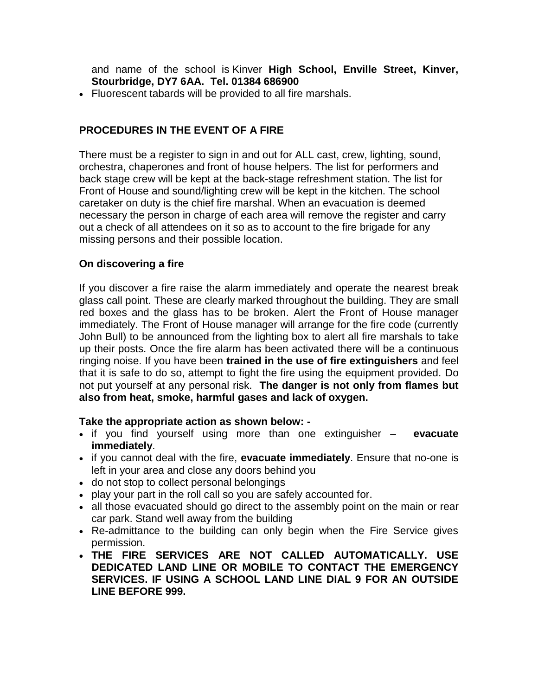and name of the school is Kinver **High School, Enville Street, Kinver, Stourbridge, DY7 6AA. Tel. 01384 686900**

Fluorescent tabards will be provided to all fire marshals.

# **PROCEDURES IN THE EVENT OF A FIRE**

There must be a register to sign in and out for ALL cast, crew, lighting, sound, orchestra, chaperones and front of house helpers. The list for performers and back stage crew will be kept at the back-stage refreshment station. The list for Front of House and sound/lighting crew will be kept in the kitchen. The school caretaker on duty is the chief fire marshal. When an evacuation is deemed necessary the person in charge of each area will remove the register and carry out a check of all attendees on it so as to account to the fire brigade for any missing persons and their possible location.

### **On discovering a fire**

If you discover a fire raise the alarm immediately and operate the nearest break glass call point. These are clearly marked throughout the building. They are small red boxes and the glass has to be broken. Alert the Front of House manager immediately. The Front of House manager will arrange for the fire code (currently John Bull) to be announced from the lighting box to alert all fire marshals to take up their posts. Once the fire alarm has been activated there will be a continuous ringing noise. If you have been **trained in the use of fire extinguishers** and feel that it is safe to do so, attempt to fight the fire using the equipment provided. Do not put yourself at any personal risk. **The danger is not only from flames but also from heat, smoke, harmful gases and lack of oxygen.**

#### **Take the appropriate action as shown below: -**

- if you find yourself using more than one extinguisher **evacuate immediately**.
- if you cannot deal with the fire, **evacuate immediately**. Ensure that no-one is left in your area and close any doors behind you
- do not stop to collect personal belongings
- play your part in the roll call so you are safely accounted for.
- all those evacuated should go direct to the assembly point on the main or rear car park. Stand well away from the building
- Re-admittance to the building can only begin when the Fire Service gives permission.
- **THE FIRE SERVICES ARE NOT CALLED AUTOMATICALLY. USE DEDICATED LAND LINE OR MOBILE TO CONTACT THE EMERGENCY SERVICES. IF USING A SCHOOL LAND LINE DIAL 9 FOR AN OUTSIDE LINE BEFORE 999.**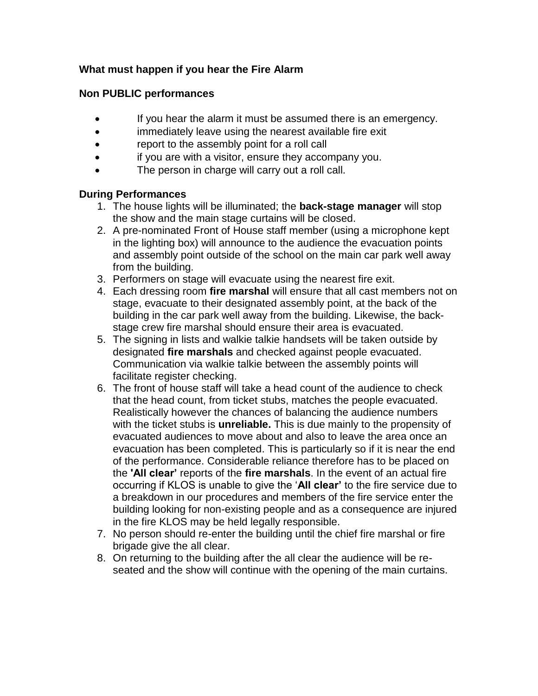# **What must happen if you hear the Fire Alarm**

# **Non PUBLIC performances**

- If you hear the alarm it must be assumed there is an emergency.
- immediately leave using the nearest available fire exit
- report to the assembly point for a roll call
- if you are with a visitor, ensure they accompany you.
- The person in charge will carry out a roll call.

# **During Performances**

- 1. The house lights will be illuminated; the **back-stage manager** will stop the show and the main stage curtains will be closed.
- 2. A pre-nominated Front of House staff member (using a microphone kept in the lighting box) will announce to the audience the evacuation points and assembly point outside of the school on the main car park well away from the building.
- 3. Performers on stage will evacuate using the nearest fire exit.
- 4. Each dressing room **fire marshal** will ensure that all cast members not on stage, evacuate to their designated assembly point, at the back of the building in the car park well away from the building. Likewise, the backstage crew fire marshal should ensure their area is evacuated.
- 5. The signing in lists and walkie talkie handsets will be taken outside by designated **fire marshals** and checked against people evacuated. Communication via walkie talkie between the assembly points will facilitate register checking.
- 6. The front of house staff will take a head count of the audience to check that the head count, from ticket stubs, matches the people evacuated. Realistically however the chances of balancing the audience numbers with the ticket stubs is **unreliable.** This is due mainly to the propensity of evacuated audiences to move about and also to leave the area once an evacuation has been completed. This is particularly so if it is near the end of the performance. Considerable reliance therefore has to be placed on the **'All clear'** reports of the **fire marshals**. In the event of an actual fire occurring if KLOS is unable to give the '**All clear'** to the fire service due to a breakdown in our procedures and members of the fire service enter the building looking for non-existing people and as a consequence are injured in the fire KLOS may be held legally responsible.
- 7. No person should re-enter the building until the chief fire marshal or fire brigade give the all clear.
- 8. On returning to the building after the all clear the audience will be reseated and the show will continue with the opening of the main curtains.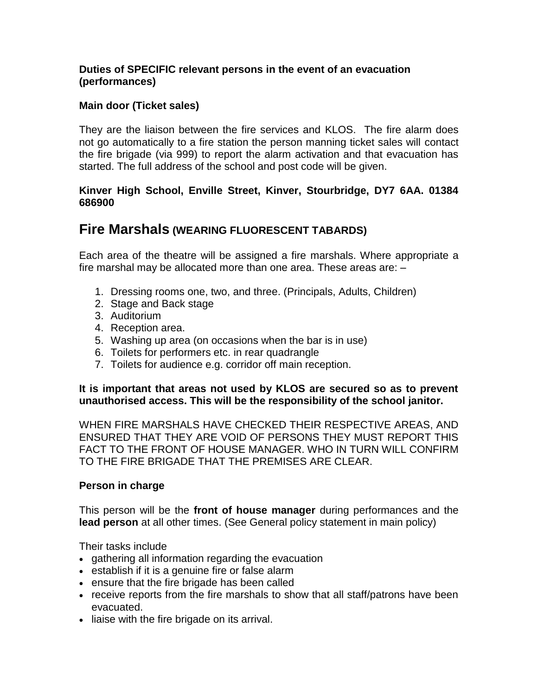### **Duties of SPECIFIC relevant persons in the event of an evacuation (performances)**

# **Main door (Ticket sales)**

They are the liaison between the fire services and KLOS. The fire alarm does not go automatically to a fire station the person manning ticket sales will contact the fire brigade (via 999) to report the alarm activation and that evacuation has started. The full address of the school and post code will be given.

### **Kinver High School, Enville Street, Kinver, Stourbridge, DY7 6AA. 01384 686900**

# **Fire Marshals (WEARING FLUORESCENT TABARDS)**

Each area of the theatre will be assigned a fire marshals. Where appropriate a fire marshal may be allocated more than one area. These areas are: –

- 1. Dressing rooms one, two, and three. (Principals, Adults, Children)
- 2. Stage and Back stage
- 3. Auditorium
- 4. Reception area.
- 5. Washing up area (on occasions when the bar is in use)
- 6. Toilets for performers etc. in rear quadrangle
- 7. Toilets for audience e.g. corridor off main reception.

### **It is important that areas not used by KLOS are secured so as to prevent unauthorised access. This will be the responsibility of the school janitor.**

WHEN FIRE MARSHALS HAVE CHECKED THEIR RESPECTIVE AREAS, AND ENSURED THAT THEY ARE VOID OF PERSONS THEY MUST REPORT THIS FACT TO THE FRONT OF HOUSE MANAGER. WHO IN TURN WILL CONFIRM TO THE FIRE BRIGADE THAT THE PREMISES ARE CLEAR.

### **Person in charge**

This person will be the **front of house manager** during performances and the **lead person** at all other times. (See General policy statement in main policy)

Their tasks include

- gathering all information regarding the evacuation
- establish if it is a genuine fire or false alarm
- ensure that the fire brigade has been called
- receive reports from the fire marshals to show that all staff/patrons have been evacuated.
- liaise with the fire brigade on its arrival.